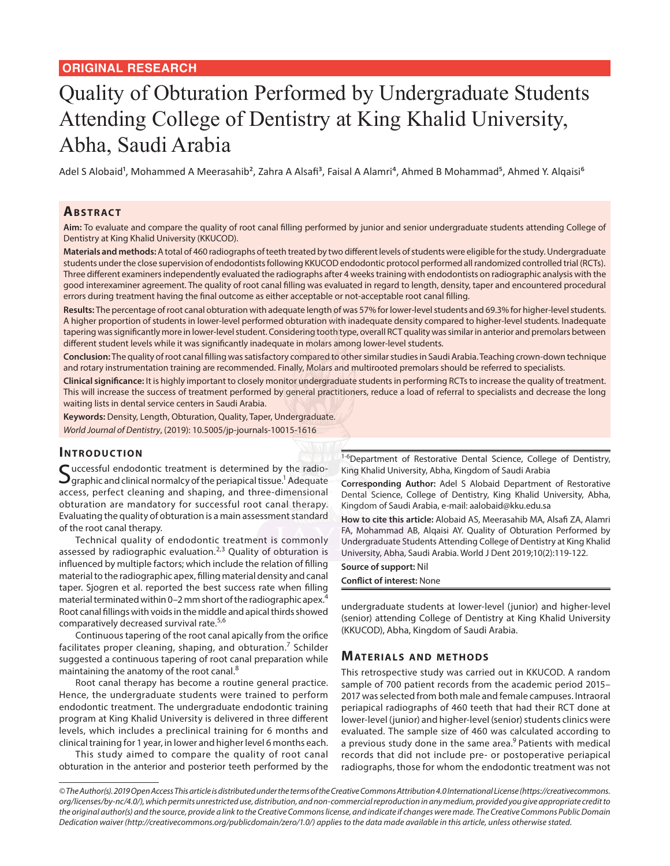# Quality of Obturation Performed by Undergraduate Students Attending College of Dentistry at King Khalid University, Abha, Saudi Arabia

Adel S Alobaid<sup>1</sup>, Mohammed A Meerasahib<sup>2</sup>, Zahra A Alsafi<sup>3</sup>, Faisal A Alamri<sup>4</sup>, Ahmed B Mohammad<sup>5</sup>, Ahmed Y. Alqaisi<sup>6</sup>

# **Ab s t rac t**

**Aim:** To evaluate and compare the quality of root canal filling performed by junior and senior undergraduate students attending College of Dentistry at King Khalid University (KKUCOD).

**Materials and methods:** A total of 460 radiographs of teeth treated by two different levels of students were eligible for the study. Undergraduate students under the close supervision of endodontists following KKUCOD endodontic protocol performed all randomized controlled trial (RCTs). Three different examiners independently evaluated the radiographs after 4 weeks training with endodontists on radiographic analysis with the good interexaminer agreement. The quality of root canal filling was evaluated in regard to length, density, taper and encountered procedural errors during treatment having the final outcome as either acceptable or not-acceptable root canal filling.

**Results:** The percentage of root canal obturation with adequate length of was 57% for lower-level students and 69.3% for higher-level students. A higher proportion of students in lower-level performed obturation with inadequate density compared to higher-level students. Inadequate tapering was significantly more in lower-level student. Considering tooth type, overall RCT quality was similar in anterior and premolars between different student levels while it was significantly inadequate in molars among lower-level students.

**Conclusion:** The quality of root canal filling was satisfactory compared to other similar studies in Saudi Arabia. Teaching crown-down technique and rotary instrumentation training are recommended. Finally, Molars and multirooted premolars should be referred to specialists.

**Clinical significance:** It is highly important to closely monitor undergraduate students in performing RCTs to increase the quality of treatment. This will increase the success of treatment performed by general practitioners, reduce a load of referral to specialists and decrease the long waiting lists in dental service centers in Saudi Arabia.

**Keywords:** Density, Length, Obturation, Quality, Taper, Undergraduate. *World Journal of Dentistry*, (2019): 10.5005/jp-journals-10015-1616

## **INTRODUCTION**

Successful endodontic treatment is determined by the radio-<br>Syraphic and clinical normalcy of the periapical tissue.<sup>1</sup> Adequate access, perfect cleaning and shaping, and three-dimensional obturation are mandatory for successful root canal therapy. Evaluating the quality of obturation is a main assessment standard of the root canal therapy.

Technical quality of endodontic treatment is commonly assessed by radiographic evaluation.<sup>2,3</sup> Quality of obturation is influenced by multiple factors; which include the relation of filling material to the radiographic apex, filling material density and canal taper. Sjogren et al. reported the best success rate when filling material terminated within 0–2 mm short of the radiographic apex.<sup>4</sup> Root canal fillings with voids in the middle and apical thirds showed comparatively decreased survival rate.<sup>5,6</sup>

Continuous tapering of the root canal apically from the orifice facilitates proper cleaning, shaping, and obturation.<sup>7</sup> Schilder suggested a continuous tapering of root canal preparation while maintaining the anatomy of the root canal.<sup>8</sup>

Root canal therapy has become a routine general practice. Hence, the undergraduate students were trained to perform endodontic treatment. The undergraduate endodontic training program at King Khalid University is delivered in three different levels, which includes a preclinical training for 6 months and clinical training for 1 year, in lower and higher level 6 months each.

This study aimed to compare the quality of root canal obturation in the anterior and posterior teeth performed by the 1-6Department of Restorative Dental Science, College of Dentistry, King Khalid University, Abha, Kingdom of Saudi Arabia

**Corresponding Author:** Adel S Alobaid Department of Restorative Dental Science, College of Dentistry, King Khalid University, Abha, Kingdom of Saudi Arabia, e-mail: aalobaid@kku.edu.sa

**How to cite this article:** Alobaid AS, Meerasahib MA, Alsafi ZA, Alamri FA, Mohammad AB, Alqaisi AY. Quality of Obturation Performed by Undergraduate Students Attending College of Dentistry at King Khalid University, Abha, Saudi Arabia. World J Dent 2019;10(2):119-122.

**Source of support:** Nil

**Conflict of interest:** None

undergraduate students at lower-level (junior) and higher-level (senior) attending College of Dentistry at King Khalid University (KKUCOD), Abha, Kingdom of Saudi Arabia.

#### **MATERIALS AND METHODS**

This retrospective study was carried out in KKUCOD. A random sample of 700 patient records from the academic period 2015– 2017 was selected from both male and female campuses. Intraoral periapical radiographs of 460 teeth that had their RCT done at lower-level (junior) and higher-level (senior) students clinics were evaluated. The sample size of 460 was calculated according to a previous study done in the same area.<sup>9</sup> Patients with medical records that did not include pre- or postoperative periapical radiographs, those for whom the endodontic treatment was not

*<sup>©</sup> The Author(s). 2019 Open Access This article is distributed under the terms of the Creative Commons Attribution 4.0 International License (https://creativecommons. org/licenses/by-nc/4.0/), which permits unrestricted use, distribution, and non-commercial reproduction in any medium, provided you give appropriate credit to the original author(s) and the source, provide a link to the Creative Commons license, and indicate if changes were made. The Creative Commons Public Domain Dedication waiver (http://creativecommons.org/publicdomain/zero/1.0/) applies to the data made available in this article, unless otherwise stated.*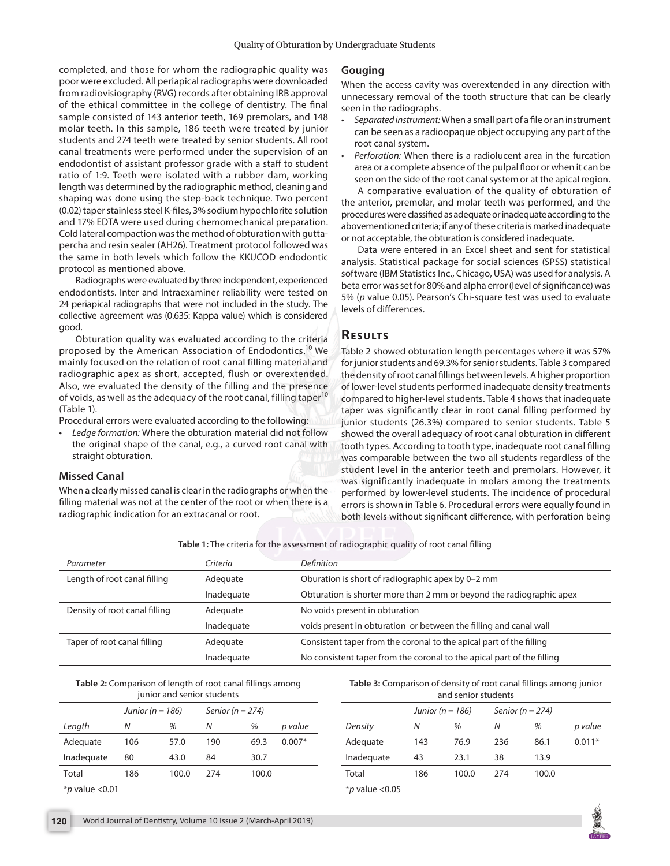completed, and those for whom the radiographic quality was poor were excluded. All periapical radiographs were downloaded from radiovisiography (RVG) records after obtaining IRB approval of the ethical committee in the college of dentistry. The final sample consisted of 143 anterior teeth, 169 premolars, and 148 molar teeth. In this sample, 186 teeth were treated by junior students and 274 teeth were treated by senior students. All root canal treatments were performed under the supervision of an endodontist of assistant professor grade with a staff to student ratio of 1:9. Teeth were isolated with a rubber dam, working length was determined by the radiographic method, cleaning and shaping was done using the step-back technique. Two percent (0.02) taper stainless steel K-files, 3% sodium hypochlorite solution and 17% EDTA were used during chemomechanical preparation. Cold lateral compaction was the method of obturation with guttapercha and resin sealer (AH26). Treatment protocol followed was the same in both levels which follow the KKUCOD endodontic protocol as mentioned above.

Radiographs were evaluated by three independent, experienced endodontists. Inter and Intraexaminer reliability were tested on 24 periapical radiographs that were not included in the study. The collective agreement was (0.635: Kappa value) which is considered good.

Obturation quality was evaluated according to the criteria proposed by the American Association of Endodontics.<sup>10</sup> We mainly focused on the relation of root canal filling material and radiographic apex as short, accepted, flush or overextended. Also, we evaluated the density of the filling and the presence of voids, as well as the adequacy of the root canal, filling taper<sup>10</sup> (Table 1).

Procedural errors were evaluated according to the following:

*• Ledge formation:* Where the obturation material did not follow the original shape of the canal, e.g., a curved root canal with straight obturation.

#### **Missed Canal**

When a clearly missed canal is clear in the radiographs or when the filling material was not at the center of the root or when there is a radiographic indication for an extracanal or root.

#### **Gouging**

When the access cavity was overextended in any direction with unnecessary removal of the tooth structure that can be clearly seen in the radiographs.

- *• Separated instrument:* When a small part of a file or an instrument can be seen as a radioopaque object occupying any part of the root canal system.
- *• Perforation:* When there is a radiolucent area in the furcation area or a complete absence of the pulpal floor or when it can be seen on the side of the root canal system or at the apical region.

A comparative evaluation of the quality of obturation of the anterior, premolar, and molar teeth was performed, and the procedures were classified as adequate or inadequate according to the abovementioned criteria; if any of these criteria is marked inadequate or not acceptable, the obturation is considered inadequate.

Data were entered in an Excel sheet and sent for statistical analysis. Statistical package for social sciences (SPSS) statistical software (IBM Statistics Inc., Chicago, USA) was used for analysis. A beta error was set for 80% and alpha error (level of significance) was 5% (*p* value 0.05). Pearson's Chi-square test was used to evaluate levels of differences.

# **RESULTS**

Table 2 showed obturation length percentages where it was 57% for junior students and 69.3% for senior students. Table 3 compared the density of root canal fillings between levels. A higher proportion of lower-level students performed inadequate density treatments compared to higher-level students. Table 4 shows that inadequate taper was significantly clear in root canal filling performed by junior students (26.3%) compared to senior students. Table 5 showed the overall adequacy of root canal obturation in different tooth types. According to tooth type, inadequate root canal filling was comparable between the two all students regardless of the student level in the anterior teeth and premolars. However, it was significantly inadequate in molars among the treatments performed by lower-level students. The incidence of procedural errors is shown in Table 6. Procedural errors were equally found in both levels without significant difference, with perforation being

**Table 1:** The criteria for the assessment of radiographic quality of root canal filling

| Parameter                     | Criteria   | <b>Definition</b>                                                      |
|-------------------------------|------------|------------------------------------------------------------------------|
| Length of root canal filling  | Adequate   | Oburation is short of radiographic apex by 0-2 mm                      |
|                               | Inadequate | Obturation is shorter more than 2 mm or beyond the radiographic apex   |
| Density of root canal filling | Adequate   | No voids present in obturation                                         |
|                               | Inadequate | voids present in obturation or between the filling and canal wall      |
| Taper of root canal filling   | Adequate   | Consistent taper from the coronal to the apical part of the filling    |
|                               | Inadequate | No consistent taper from the coronal to the apical part of the filling |

**Table 2:** Comparison of length of root canal fillings among junior and senior students

|            | Junior ( $n = 186$ ) |       | Senior ( $n = 274$ ) |       |          |
|------------|----------------------|-------|----------------------|-------|----------|
| Length     | Ν                    | %     | Ν                    | %     | p value  |
| Adequate   | 106                  | 57.0  | 190                  | 69.3  | $0.007*$ |
| Inadequate | 80                   | 43.0  | 84                   | 30.7  |          |
| Total      | 186                  | 100.0 | 274                  | 100.0 |          |

\**p* value <0.01

**Table 3:** Comparison of density of root canal fillings among junior and senior students

|                                                         | Junior ( $n = 186$ ) |       | Senior ( $n = 274$ ) |       |          |
|---------------------------------------------------------|----------------------|-------|----------------------|-------|----------|
| Density                                                 | Ν                    | %     | Ν                    | %     | p value  |
| Adequate                                                | 143                  | 76.9  | 236                  | 86.1  | $0.011*$ |
| Inadequate                                              | 43                   | 23.1  | 38                   | 13.9  |          |
| Total                                                   | 186                  | 100.0 | 274                  | 100.0 |          |
| $\mathcal{L}$ $\mathcal{L}$ $\mathcal{L}$ $\mathcal{L}$ |                      |       |                      |       |          |

\**p* value <0.05

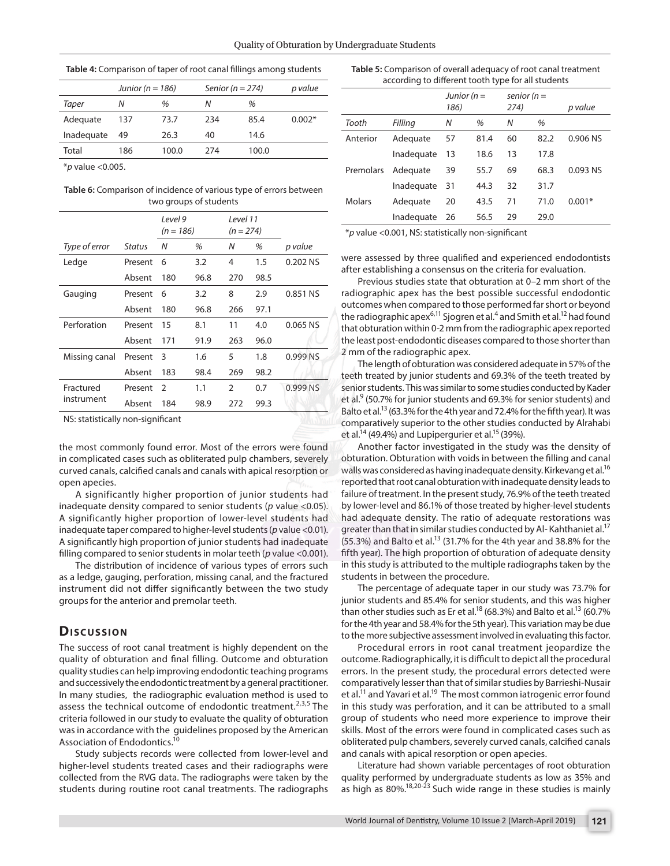|            | Junior ( $n = 186$ ) |       | Senior ( $n = 274$ ) | p value       |          |
|------------|----------------------|-------|----------------------|---------------|----------|
| Taper      | N                    | %     | Ν                    | $\frac{1}{2}$ |          |
| Adequate   | 137                  | 73.7  | 234                  | 85.4          | $0.002*$ |
| Inadequate | 49                   | 26.3  | 40                   | 14.6          |          |
| Total      | 186                  | 100.0 | 274                  | 100.0         |          |
|            |                      |       |                      |               |          |

\**p* value <0.005.

**Table 6:** Comparison of incidence of various type of errors between two groups of students

|                         |               | Level 9<br>$(n = 186)$ |      | Level 11<br>$(n = 274)$ |      |          |
|-------------------------|---------------|------------------------|------|-------------------------|------|----------|
| Type of error           | <b>Status</b> | Ν                      | %    | N                       | %    | p value  |
| Ledge                   | Present       | 6                      | 3.2  | 4                       | 1.5  | 0.202 NS |
|                         | Absent        | 180                    | 96.8 | 270                     | 98.5 |          |
| Gauging                 | Present       | 6                      | 3.2  | 8                       | 2.9  | 0.851 NS |
|                         | Absent        | 180                    | 96.8 | 266                     | 97.1 |          |
| Perforation             | Present       | 15                     | 8.1  | 11                      | 4.0  | 0.065 NS |
|                         | Absent        | 171                    | 91.9 | 263                     | 96.0 |          |
| Missing canal           | Present       | 3                      | 1.6  | 5                       | 1.8  | 0.999 NS |
|                         | Absent        | 183                    | 98.4 | 269                     | 98.2 |          |
| Fractured<br>instrument | Present       | $\mathcal{P}$          | 1.1  | $\mathfrak{D}$          | 0.7  | 0.999 NS |
|                         | Absent        | 184                    | 98.9 | 272                     | 99.3 |          |

NS: statistically non-significant

the most commonly found error. Most of the errors were found in complicated cases such as obliterated pulp chambers, severely curved canals, calcified canals and canals with apical resorption or open apecies.

A significantly higher proportion of junior students had inadequate density compared to senior students (*p* value <0.05). A significantly higher proportion of lower-level students had inadequate taper compared to higher-level students (*p* value <0.01). A significantly high proportion of junior students had inadequate filling compared to senior students in molar teeth (*p* value <0.001).

The distribution of incidence of various types of errors such as a ledge, gauging, perforation, missing canal, and the fractured instrument did not differ significantly between the two study groups for the anterior and premolar teeth.

## **Dis c u s sio n**

The success of root canal treatment is highly dependent on the quality of obturation and final filling. Outcome and obturation quality studies can help improving endodontic teaching programs and successively the endodontic treatment by a general practitioner. In many studies, the radiographic evaluation method is used to assess the technical outcome of endodontic treatment. $2,3,5$  The criteria followed in our study to evaluate the quality of obturation was in accordance with the guidelines proposed by the American Association of Endodontics.<sup>10</sup>

Study subjects records were collected from lower-level and higher-level students treated cases and their radiographs were collected from the RVG data. The radiographs were taken by the students during routine root canal treatments. The radiographs

| Table 5: Comparison of overall adequacy of root canal treatment |  |  |  |  |  |
|-----------------------------------------------------------------|--|--|--|--|--|
| according to different tooth type for all students              |  |  |  |  |  |
| .                                                               |  |  |  |  |  |

|               |            | Junior ( $n =$<br>186) |      | senior ( $n =$<br>274) |      | p value  |
|---------------|------------|------------------------|------|------------------------|------|----------|
| Tooth         | Filling    | Ν                      | %    | N                      | %    |          |
| Anterior      | Adequate   | 57                     | 81.4 | 60                     | 82.2 | 0.906 NS |
|               | Inadequate | 13                     | 18.6 | 13                     | 17.8 |          |
| Premolars     | Adequate   | 39                     | 55.7 | 69                     | 68.3 | 0.093 NS |
|               | Inadequate | 31                     | 44.3 | 32                     | 31.7 |          |
| <b>Molars</b> | Adequate   | 20                     | 43.5 | 71                     | 71.0 | $0.001*$ |
|               | Inadequate | 26                     | 56.5 | 29                     | 29.0 |          |
|               |            |                        |      |                        |      |          |

\**p* value <0.001, NS: statistically non-significant

were assessed by three qualified and experienced endodontists after establishing a consensus on the criteria for evaluation.

Previous studies state that obturation at 0–2 mm short of the radiographic apex has the best possible successful endodontic outcomes when compared to those performed far short or beyond the radiographic apex $^{6,11}$  Sjogren et al. $^4$  and Smith et al. $^{12}$  had found that obturation within 0-2 mm from the radiographic apex reported the least post-endodontic diseases compared to those shorter than 2 mm of the radiographic apex.

The length of obturation was considered adequate in 57% of the teeth treated by junior students and 69.3% of the teeth treated by senior students. This was similar to some studies conducted by Kader et al.<sup>9</sup> (50.7% for junior students and 69.3% for senior students) and Balto et al.<sup>13</sup> (63.3% for the 4th year and 72.4% for the fifth year). It was comparatively superior to the other studies conducted by Alrahabi et al.<sup>14</sup> (49.4%) and Lupipergurier et al.<sup>15</sup> (39%).

Another factor investigated in the study was the density of obturation. Obturation with voids in between the filling and canal walls was considered as having inadequate density. Kirkevang et al.<sup>16</sup> reported that root canal obturation with inadequate density leads to failure of treatment. In the present study, 76.9% of the teeth treated by lower-level and 86.1% of those treated by higher-level students had adequate density. The ratio of adequate restorations was greater than that in similar studies conducted by Al-Kahthaniet al.<sup>17</sup>  $(55.3%)$  and Balto et al.<sup>13</sup> (31.7% for the 4th year and 38.8% for the fifth year). The high proportion of obturation of adequate density in this study is attributed to the multiple radiographs taken by the students in between the procedure.

The percentage of adequate taper in our study was 73.7% for junior students and 85.4% for senior students, and this was higher than other studies such as Er et al.<sup>18</sup> (68.3%) and Balto et al.<sup>13</sup> (60.7%) for the 4th year and 58.4% for the 5th year). This variation may be due to the more subjective assessment involved in evaluating this factor.

Procedural errors in root canal treatment jeopardize the outcome. Radiographically, it is difficult to depict all the procedural errors. In the present study, the procedural errors detected were comparatively lesser than that of similar studies by Barrieshi-Nusair et al.<sup>11</sup> and Yavari et al.<sup>19</sup> The most common iatrogenic error found in this study was perforation, and it can be attributed to a small group of students who need more experience to improve their skills. Most of the errors were found in complicated cases such as obliterated pulp chambers, severely curved canals, calcified canals and canals with apical resorption or open apecies.

Literature had shown variable percentages of root obturation quality performed by undergraduate students as low as 35% and as high as 80%.<sup>18,20-23</sup> Such wide range in these studies is mainly